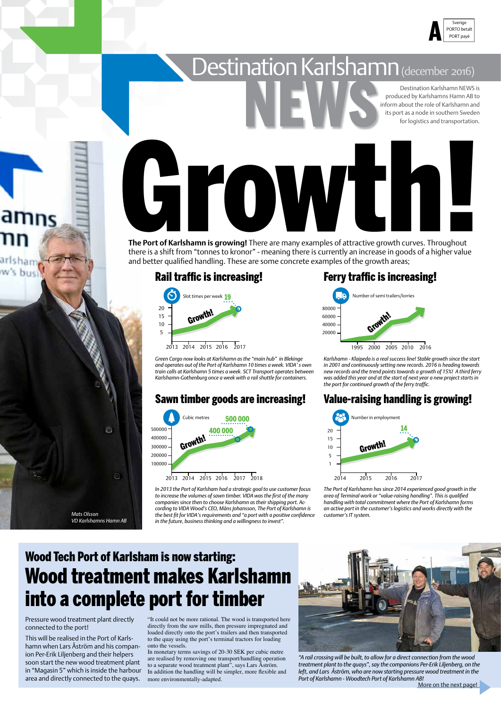### Rail traffic is increasing!

*Mats Olsson*

*VD Karlshamns Hamn AB*









### Sawn timber goods are increasing!

*Green Cargo now looks at Karlshamn as the "main hub" in Blekinge and operates out of the Port of Karlshamn 10 times a week. VIDA' s own train calls at Karlshamn 5 times a week. SCT Transport operates between Karlshamn-Gothenburg once a week with a rail shuttle for containers.*

*In 2013 the Port of Karlsham had a strategic goal to use customer focus to increase the volumes of sawn timber. VIDA was the first of the many companies since then to choose Karlshamn as their shipping port. According to VIDA Wood's CEO, Måns Johansson, The Port of Karlshamn is the best fit for VIDA's requirements and "a port with a positive confidence in the future, business thinking and a willingness to invest".* 



# Destination Karlshamn (december 2016)

"It could not be more rational. The wood is transported here directly from the saw mills, then pressure impregnated and loaded directly onto the port's trailers and then transported to the quay using the port's terminal tractors for loading onto the vessels.

Destination Karlshamn NEWS is produced by Karlshamns Hamn AB to inform about the role of Karlshamn and its port as a node in southern Sweden for logistics and transportation.

In monetary terms savings of 20-30 SEK per cubic metre are realised by removing one transport/handling operation to a separate wood treatment plant", says Lars Åström. In addition the handling will be simpler, more flexible and more environmentally-adapted.



### Wood Tech Port of Karlsham is now starting: Wood treatment makes Karlshamn into a complete port for timber

### Ferry traffic is increasing!

### Value-raising handling is growing!

*"A rail crossing will be built, to allow for a direct connection from the wood treatment plant to the quays", say the companions Per-Erik Liljenberg, on the left, and Lars Åström, who are now starting pressure wood treatment in the Port of Karlshamn - Woodtech Port of Karlshamn AB!* More on the next page!

Growth!

**The Port of Karlshamn is growing!** There are many examples of attractive growth curves. Throughout there is a shift from "tonnes to kronor" - meaning there is currently an increase in goods of a higher value and better qualified handling. These are some concrete examples of the growth areas;

> *Karlshamn - Klaipeda is a real success line! Stable growth since the start in 2001 and continuously setting new records. 2016 is heading towards new records and the trend points towards a growth of 15%! A third ferry was added this year and at the start of next year a new project starts in the port for continued growth of the ferry traffic.*

*The Port of Karlshamn has since 2014 experienced good growth in the area of Terminal work or "value-raising handling". This is qualified handling with total commitment where the Port of Karlshamn forms an active part in the customer's logistics and works directly with the customer's IT system.*

Pressure wood treatment plant directly connected to the port!

This will be realised in the Port of Karlshamn when Lars Åström and his companion Per-Erik Liljenberg and their helpers soon start the new wood treatment plant in "Magasin 5" which is inside the harbour area and directly connected to the quays.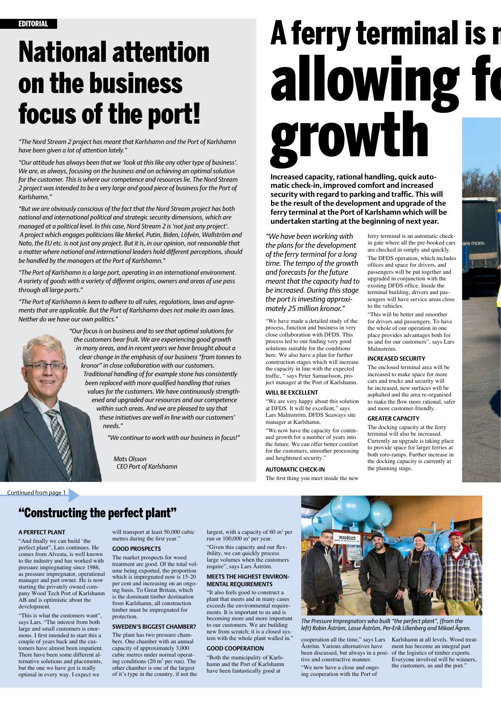## National attention on the business focus of the port!

*"We have been working with the plans for the development of the ferry terminal for a long time. The tempo of the growth and forecasts for the future meant that the capacity had to be increased. During this stage the port is investing approximately 25 million kronor."*

"We have made a detailed study of the process, function and business in very close collaboration with DFDS. This process led to our finding very good solutions suitable for the conditions here. We also have a plan for further construction stages which will increase the capacity in line with the expected traffic, " says Peter Samuelsson, project manager at the Port of Karlshamn.

### **WILL BE EXCELLENT**

"We are very happy about this solution at DFDS. It will be excellent," says Lars Malmström, DFDS Seaways site manager at Karlshamn.

"We now have the capacity for continued growth for a number of years into the future. We can offer better comfort for the customers, smoother processing and heightened security."

#### **AUTOMATIC CHECK-IN**

The first thing you meet inside the new

*"The Nord Stream 2 project has meant that Karlshamn and the Port of Karlshamn have been given a lot of attention lately."*

*"Our attitude has always been that we 'look at this like any other type of business'. We are, as always, focusing on the business and on achieving an optimal solution for the customer. This is where our competence and resources lie. The Nord Stream 2 project was intended to be a very large and good piece of business for the Port of Karlshamn."*

# A ferry terminal is r allowing fo growth

*"But we are obviously conscious of the fact that the Nord Stream project has both national and international political and strategic security dimensions, which are managed at a political level. In this case, Nord Stream 2 is 'not just any project'. A project which engages politicians like Merkel, Putin, Biden, Löfvén, Wallström and Nato, the EU etc. is not just any project. But it is, in our opinion, not reasonable that a matter where national and international leaders hold different perceptions, should be handled by the managers at the Port of Karlshamn."*

*"The Port of Karlshamn is a large port, operating in an international environment. A variety of goods with a variety of different origins, owners and areas of use pass through all large ports."* 

*"The Port of Karlshamn is keen to adhere to all rules, regulations, laws and agreements that are applicable. But the Port of Karlshamn does not make its own laws. Neither do we have our own politics."*



*"Our focus is on business and to see that optimal solutions for the customers bear fruit. We are experiencing good growth in many areas, and in recent years we have brought about a clear change in the emphasis of our business "from tonnes to kronor" in close collaboration with our customers. Traditional handling of for example stone has consistently been replaced with more qualified handling that raises values for the customers. We have continuously strengthened and upgraded our resources and our competence within such areas. And we are pleased to say that these initiatives are well in line with our customers' needs."*

*"We continue to work with our business in focus!"*

*Mats Olsson CEO Port of Karlshamn*

> run or  $100,000$  m<sup>3</sup> per year. "Given this capacity and our flexibility, we can quickly process large volumes when the customers require", says Lars Åström.

**Increased capacity, rational handling, quick automatic check-in, improved comfort and increased security with regard to parking and traffic. This will be the result of the development and upgrade of the ferry terminal at the Port of Karlshamn which will be undertaken starting at the beginning of next year.**

> ferry terminal is an automatic checkin gate where all the pre-booked cars are checked in simply and quickly. The DFDS operation, which includes offices and space for drivers, and passengers will be put together and upgraded in conjunction with the existing DFDS office. Inside the terminal building, drivers and passengers will have service areas close to the vehicles.

are more.

"This will be better and smoother for drivers and passengers. To have the whole of our operation in one place provides advantages both for us and for our customers", says Lars Malmström.

### **INCREASED SECURITY**

The enclosed terminal area will be increased to make space for more cars and trucks and security will be increased, new surfaces will be asphalted and the area re-organised to make the flow more rational, safer and more customer-friendly.

### **GREATER CAPACITY**

The docking capacity at the ferry terminal will also be increased. Currently an upgrade is taking place to provide space for larger ferries at both roro-ramps. Further increase in the docking capacity is currently at the planning stage.

*The Pressure Impregnators who built "the perfect plant", (from the left) Robin Åström, Lasse Åström, Per-Erik Lilienberg and Mikael Ågren.*

**A PERFECT PLANT**

"And finally we can build 'the perfect plant", Lars continues. He comes from Alvesta, is well known to the industry and has worked with pressure impregnating since 1986, as pressure impregnator, operational manager and part owner. He is now starting the privately owned company Wood Tech Port of Karlshamn AB and is optimistic about the development.

"This is what the customers want", says Lars. "The interest from both large and small customers is enormous. I first intended to start this a couple of years back and the customers have almost been impatient. There have been some different alternative solutions and placements, but the one we have got is really optimal in every way. I expect we

### "Constructing the perfect plant"

will transport at least 50,000 cubic

largest, with a capacity of  $60 \text{ m}^3$  per



metres during the first year."

### **GOOD PROSPECTS**

The market prospects for wood treatment are good. Of the total volume being exported, the proportion which is impregnated now is 15-20 per cent and increasing on an ongoing basis. To Great Britain, which is the dominant timber destination from Karlshamn, all construction timber must be impregnated for protection.

### **SWEDEN'S BIGGEST CHAMBER?**

The plant has two pressure chambers. One chamber with an annual capacity of approximately 3,000 cubic metres under normal operating conditions  $(20 \text{ m}^3 \text{ per run})$ . The other chamber is one of the largest of it's type in the country, if not the

### **MEETS THE HIGHEST ENVIRON-MENTAL REQUIREMENTS**

"It also feels good to construct a plant that meets and in many cases exceeds the environmental requirements. It is important to us and is becoming more and more important to our customers. We are building new from scratch; it is a closed system with the whole plant walled in."

### **GOOD COOPERATION**

"Both the municipality of Karlshamn and the Port of Karlshamn have been fantastically good at

cooperation all the time," says Lars Karlshamn at all levels. Wood treat-Åström. Various alternatives have been discussed, but always in a posi-of the logistics of timber exports. tive and constructive manner.

"We now have a close and ongoing cooperation with the Port of

ment has become an integral part Everyone involved will be winners, the customers, us and the port."

Continued from page 1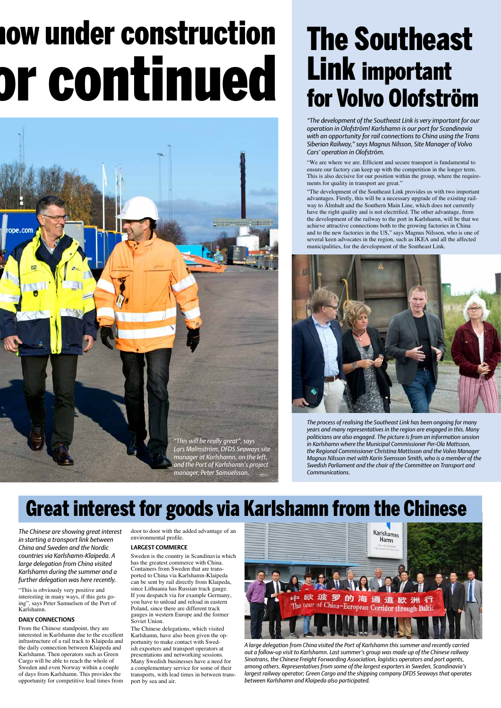## The Southeast Link important for Volvo Olofström

*The process of realising the Southeast Link has been ongoing for many years and many representatives in the region are engaged in this. Many politicians are also engaged. The picture is from an information session in Karlshamn where the Municipal Commissioner Per-Ola Mattsson, the Regional Commissioner Christina Mattisson and the Volvo Manager Magnus Nilsson met with Karin Svensson Smith, who is a member of the Swedish Parliament and the chair of the Committee on Transport and Communications.*

*"The development of the Southeast Link is very important for our operation in Olofström! Karlshamn is our port for Scandinavia with an opportunity for rail connections to China using the Trans Siberian Railway," says Magnus Nilsson, Site Manager of Volvo Cars' operation in Olofström.* 

"We are where we are. Efficient and secure transport is fundamental to ensure our factory can keep up with the competition in the longer term. This is also decisive for our position within the group, where the requirements for quality in transport are great."

"The development of the Southeast Link provides us with two important advantages. Firstly, this will be a necessary upgrade of the existing railway to Älmhult and the Southern Main Line, which does not currently have the right quality and is not electrified. The other advantage, from the development of the railway to the port in Karlshamn, will be that we achieve attractive connections both to the growing factories in China and to the new factories in the US," says Magnus Nilsson, who is one of several keen advocates in the region, such as IKEA and all the affected municipalities, for the development of the Southeast Link.



*A large delegation from China visited the Port of Karlshamn this summer and recently carried out a follow-up visit to Karlshamn. Last summer's group was made up of the Chinese railway Sinotrans, the Chinese Freight Forwarding Association, logistics operators and port agents, among others. Representatives from some of the largest exporters in Sweden, Scandinavia's largest railway operator; Green Cargo and the shipping company DFDS Seaways that operates between Karlshamn and Klaipeda also participated.*

*in starting a transport link between China and Sweden and the Nordic countries via Karlshamn-Klaipeda. A large delegation from China visited Karlshamn during the summer and a further delegation was here recently.*

"This is obviously very positive and interesting in many ways, if this gets going", says Peter Samuelsen of the Port of Karlshamn.

### **DAILY CONNECTIONS**

*The Chinese are showing great interest*  door to door with the added advantage of an

From the Chinese standpoint, they are interested in Karlshamn due to the excellent infrastructure of a rail track to Klaipeda and the daily connection between Klaipeda and Karlshamn. Then operators such as Green Cargo will be able to reach the whole of Sweden and even Norway within a couple of days from Karlshamn. This provides the opportunity for competitive lead times from

environmental profile.

### **LARGEST COMMERCE**

Sweden is the country in Scandinavia which has the greatest commerce with China. Containers from Sweden that are transported to China via Karlshamn-Klaipeda can be sent by rail directly from Klaipeda, since Lithuania has Russian track gauge. If you despatch via for example Germany, you have to unload and reload in eastern Poland, since there are different track gauges in western Europe and the former Soviet Union.

The Chinese delegations, which visited Karlshamn, have also been given the opportunity to make contact with Swedish exporters and transport operators at presentations and networking sessions. Many Swedish businesses have a need for a complementary service for some of their transports, with lead times in between transport by sea and air.



# **10w under construction** ar continued



### Great interest for goods via Karlshamn from the Chinese